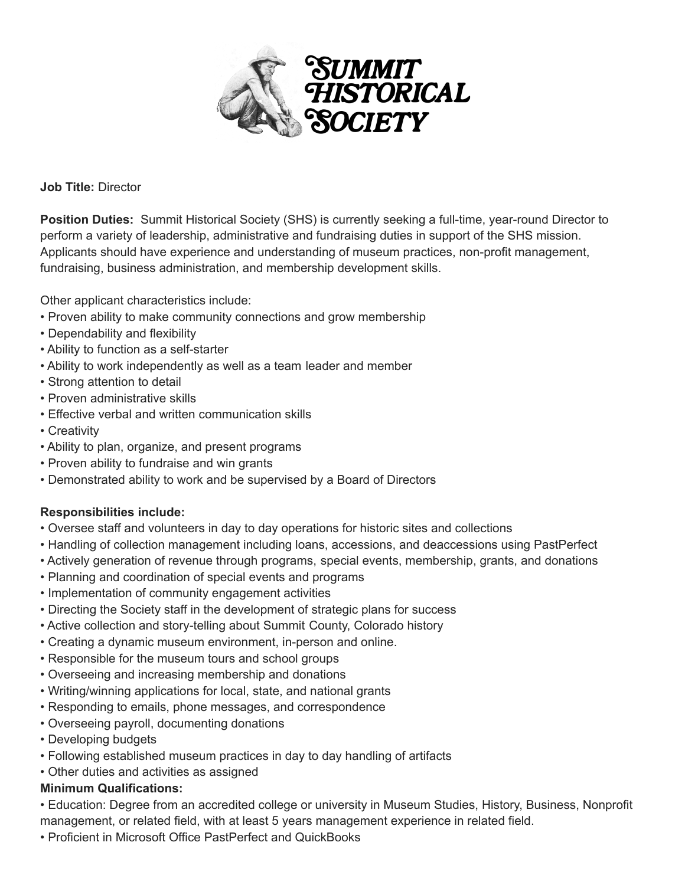

**Job Title:** Director

**Position Duties:** Summit Historical Society (SHS) is currently seeking a full-time, year-round Director to perform a variety of leadership, administrative and fundraising duties in support of the SHS mission. Applicants should have experience and understanding of museum practices, non-profit management, fundraising, business administration, and membership development skills.

Other applicant characteristics include:

- Proven ability to make community connections and grow membership
- Dependability and flexibility
- Ability to function as a self-starter
- Ability to work independently as well as a team leader and member
- Strong attention to detail
- Proven administrative skills
- Effective verbal and written communication skills
- Creativity
- Ability to plan, organize, and present programs
- Proven ability to fundraise and win grants
- Demonstrated ability to work and be supervised by a Board of Directors

# **Responsibilities include:**

- Oversee staff and volunteers in day to day operations for historic sites and collections
- Handling of collection management including loans, accessions, and deaccessions using PastPerfect
- Actively generation of revenue through programs, special events, membership, grants, and donations
- Planning and coordination of special events and programs
- Implementation of community engagement activities
- Directing the Society staff in the development of strategic plans for success
- Active collection and story-telling about Summit County, Colorado history
- Creating a dynamic museum environment, in-person and online.
- Responsible for the museum tours and school groups
- Overseeing and increasing membership and donations
- Writing/winning applications for local, state, and national grants
- Responding to emails, phone messages, and correspondence
- Overseeing payroll, documenting donations
- Developing budgets
- Following established museum practices in day to day handling of artifacts
- Other duties and activities as assigned

#### **Minimum Qualifications:**

• Education: Degree from an accredited college or university in Museum Studies, History, Business, Nonprofit management, or related field, with at least 5 years management experience in related field.

• Proficient in Microsoft Office PastPerfect and QuickBooks